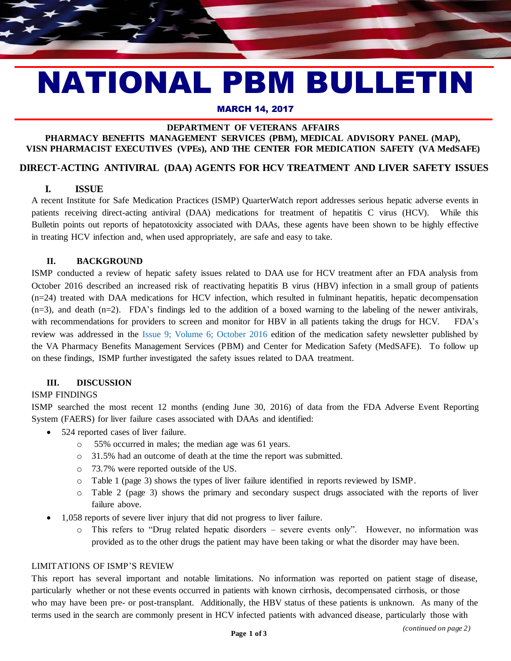# NATIONAL PBM BULLETIN

#### MARCH 14, 2017

### **DEPARTMENT OF VETERANS AFFAIRS**

# **PHARMACY BENEFITS MANAGEMENT SERVICES (PBM), MEDICAL ADVISORY PANEL (MAP), VISN PHARMACIST EXECUTIVES (VPEs), AND THE CENTER FOR MEDICATION SAFETY (VA MedSAFE)**

### **DIRECT-ACTING ANTIVIRAL (DAA) AGENTS FOR HCV TREATMENT AND LIVER SAFETY ISSUES**

## **I. ISSUE I. ISSUE**

A recent Institute for Safe Medication Practices (ISMP) QuarterWatch report addresses serious hepatic adverse events in patients receiving direct-acting antiviral (DAA) medications for treatment of hepatitis C virus (HCV). While this Bulletin points out reports of hepatotoxicity associated with DAAs, these agents have been shown to be highly effective in treating HCV infection and, when used appropriately, are safe and easy to take.

#### **II. BACKGROUND**

ISMP conducted a review of hepatic safety issues related to DAA use for HCV treatment after an FDA analysis from October 2016 described an increased risk of reactivating hepatitis B virus (HBV) infection in a small group of patients (n=24) treated with DAA medications for HCV infection, which resulted in fulminant hepatitis, hepatic decompensation  $(n=3)$ , and death  $(n=2)$ . FDA's findings led to the addition of a boxed warning to the labeling of the newer antivirals, with recommendations for providers to screen and monitor for HBV in all patients taking the drugs for HCV. FDA's review was addressed in the [Issue 9; Volume 6; October 2016](http://www.pbm.va.gov/PBM/vacenterformedicationsafety/newsletter/Medication_Safety_in_Seconds_Oct_2016_FINAL.pdf) edition of the medication safety newsletter published by the VA Pharmacy Benefits Management Services (PBM) and Center for Medication Safety (MedSAFE). To follow up on these findings, ISMP further investigated the safety issues related to DAA treatment.

## **III. DISCUSSION**

#### ISMP FINDINGS

ISMP searched the most recent 12 months (ending June 30, 2016) of data from the FDA Adverse Event Reporting System (FAERS) for liver failure cases associated with DAAs and identified:

- 524 reported cases of liver failure.
	- o 55% occurred in males; the median age was 61 years.
	- o 31.5% had an outcome of death at the time the report was submitted.
	- o 73.7% were reported outside of the US.
	- o Table 1 (page 3) shows the types of liver failure identified in reports reviewed by ISMP.
	- o Table 2 (page 3) shows the primary and secondary suspect drugs associated with the reports of liver failure above.
- 1,058 reports of severe liver injury that did not progress to liver failure.
	- o This refers to "Drug related hepatic disorders severe events only". However, no information was provided as to the other drugs the patient may have been taking or what the disorder may have been.

#### LIMITATIONS OF ISMP'S REVIEW

This report has several important and notable limitations. No information was reported on patient stage of disease, particularly whether or not these events occurred in patients with known cirrhosis, decompensated cirrhosis, or those who may have been pre- or post-transplant. Additionally, the HBV status of these patients is unknown. As many of the terms used in the search are commonly present in HCV infected patients with advanced disease, particularly those with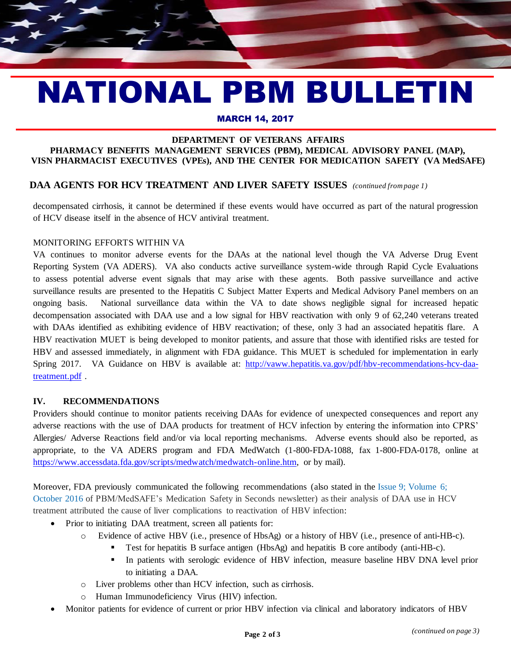# NATIONAL PBM BULLETIN

#### MARCH 14, 2017

#### **DEPARTMENT OF VETERANS AFFAIRS PHARMACY BENEFITS MANAGEMENT SERVICES (PBM), MEDICAL ADVISORY PANEL (MAP), VISN PHARMACIST EXECUTIVES (VPEs), AND THE CENTER FOR MEDICATION SAFETY (VA MedSAFE)**

## **DAA AGENTS FOR HCV TREATMENT AND LIVER SAFETY ISSUES** *(continued from page 1)*

decompensated cirrhosis, it cannot be determined if these events would have occurred as part of the natural progression of HCV disease itself in the absence of HCV antiviral treatment.

#### MONITORING EFFORTS WITHIN VA

VA continues to monitor adverse events for the DAAs at the national level though the VA Adverse Drug Event Reporting System (VA ADERS). VA also conducts active surveillance system-wide through Rapid Cycle Evaluations to assess potential adverse event signals that may arise with these agents. Both passive surveillance and active surveillance results are presented to the Hepatitis C Subject Matter Experts and Medical Advisory Panel members on an ongoing basis. National surveillance data within the VA to date shows negligible signal for increased hepatic decompensation associated with DAA use and a low signal for HBV reactivation with only 9 of 62,240 veterans treated with DAAs identified as exhibiting evidence of HBV reactivation; of these, only 3 had an associated hepatitis flare. A HBV reactivation MUET is being developed to monitor patients, and assure that those with identified risks are tested for HBV and assessed immediately, in alignment with FDA guidance. This MUET is scheduled for implementation in early Spring 2017. VA Guidance on HBV is available a[t: http://vaww.hepatitis.va.gov/pdf/hbv-recommendations-hcv-daa](http://vaww.hepatitis.va.gov/pdf/hbv-recommendations-hcv-daa-treatment.pdf)[treatment.pdf](http://vaww.hepatitis.va.gov/pdf/hbv-recommendations-hcv-daa-treatment.pdf) .

#### **IV. RECOMMENDATIONS**

Providers should continue to monitor patients receiving DAAs for evidence of unexpected consequences and report any adverse reactions with the use of DAA products for treatment of HCV infection by entering the information into CPRS' Allergies/ Adverse Reactions field and/or via local reporting mechanisms. Adverse events should also be reported, as appropriate, to the VA ADERS program and FDA MedWatch (1-800-FDA-1088, fax 1-800-FDA-0178, online at [https://www.accessdata.fda.gov/scripts/medwatch/medwatch-online.htm,](https://www.accessdata.fda.gov/scripts/medwatch/medwatch-online.htm) or by mail).

Moreover, FDA previously communicated the following recommendations (also stated in the [Issue 9; Volume 6;](http://www.pbm.va.gov/PBM/vacenterformedicationsafety/newsletter/Medication_Safety_in_Seconds_Oct_2016_FINAL.pdf)  [October 2016](http://www.pbm.va.gov/PBM/vacenterformedicationsafety/newsletter/Medication_Safety_in_Seconds_Oct_2016_FINAL.pdf) of PBM/MedSAFE's Medication Safety in Seconds newsletter) as their analysis of DAA use in HCV treatment attributed the cause of liver complications to reactivation of HBV infection:

- Prior to initiating DAA treatment, screen all patients for:
	- o Evidence of active HBV (i.e., presence of HbsAg) or a history of HBV (i.e., presence of anti-HB-c).
		- Test for hepatitis B surface antigen (HbsAg) and hepatitis B core antibody (anti-HB-c).
		- In patients with serologic evidence of HBV infection, measure baseline HBV DNA level prior to initiating a DAA.
	- o Liver problems other than HCV infection, such as cirrhosis.
	- Human Immunodeficiency Virus (HIV) infection.
- Monitor patients for evidence of current or prior HBV infection via clinical and laboratory indicators of HBV